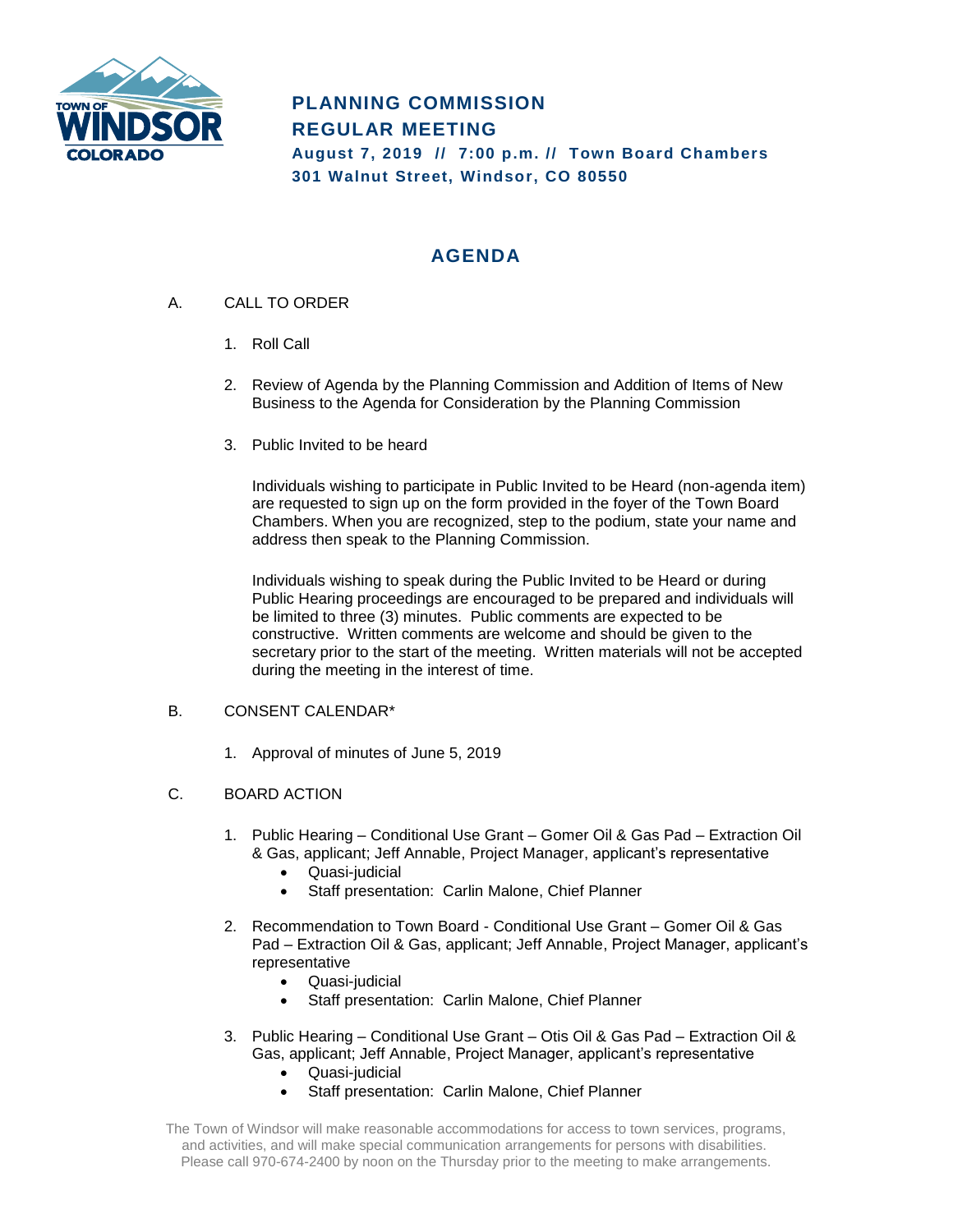

## **PLANNING COMMISSION REGULAR MEETING August 7, 2019 // 7:00 p.m. // Town Board Chambers 301 Walnut Street, Windsor, CO 80550**

# **AGENDA**

- A. CALL TO ORDER
	- 1. Roll Call
	- 2. Review of Agenda by the Planning Commission and Addition of Items of New Business to the Agenda for Consideration by the Planning Commission
	- 3. Public Invited to be heard

Individuals wishing to participate in Public Invited to be Heard (non-agenda item) are requested to sign up on the form provided in the foyer of the Town Board Chambers. When you are recognized, step to the podium, state your name and address then speak to the Planning Commission.

Individuals wishing to speak during the Public Invited to be Heard or during Public Hearing proceedings are encouraged to be prepared and individuals will be limited to three (3) minutes. Public comments are expected to be constructive. Written comments are welcome and should be given to the secretary prior to the start of the meeting. Written materials will not be accepted during the meeting in the interest of time.

## B. CONSENT CALENDAR\*

1. Approval of minutes of June 5, 2019

## C. BOARD ACTION

- 1. Public Hearing Conditional Use Grant Gomer Oil & Gas Pad Extraction Oil & Gas, applicant; Jeff Annable, Project Manager, applicant's representative
	- Quasi-judicial
	- Staff presentation: Carlin Malone, Chief Planner
- 2. Recommendation to Town Board Conditional Use Grant Gomer Oil & Gas Pad – Extraction Oil & Gas, applicant; Jeff Annable, Project Manager, applicant's representative
	- Quasi-judicial
	- Staff presentation: Carlin Malone, Chief Planner
- 3. Public Hearing Conditional Use Grant Otis Oil & Gas Pad Extraction Oil & Gas, applicant; Jeff Annable, Project Manager, applicant's representative
	- Quasi-judicial
	- Staff presentation: Carlin Malone, Chief Planner

The Town of Windsor will make reasonable accommodations for access to town services, programs, and activities, and will make special communication arrangements for persons with disabilities. Please call 970-674-2400 by noon on the Thursday prior to the meeting to make arrangements.